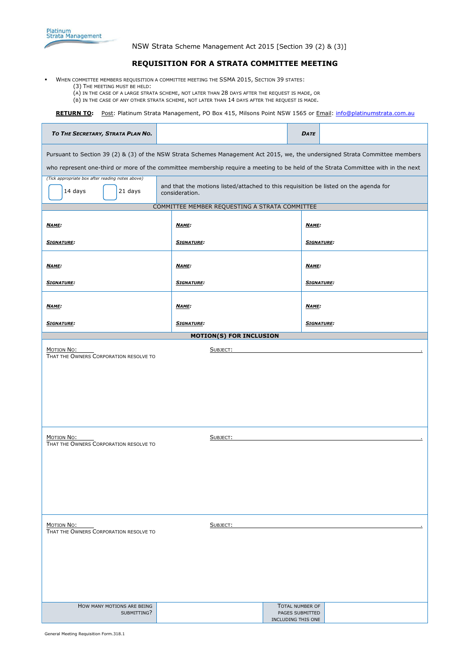NSW Strata Scheme Management Act 2015 [Section 39 (2) & (3)]

## **REQUISITION FOR A STRATA COMMITTEE MEETING**

- WHEN COMMITTEE MEMBERS REQUISITION A COMMITTEE MEETING THE SSMA 2015, SECTION 39 STATES:
	- (3) THE MEETING MUST BE HELD:
	- (A) IN THE CASE OF A LARGE STRATA SCHEME, NOT LATER THAN 28 DAYS AFTER THE REQUEST IS MADE, OR
	- (B) IN THE CASE OF ANY OTHER STRATA SCHEME, NOT LATER THAN 14 DAYS AFTER THE REQUEST IS MADE.

RETURN TO: Post: Platinum Strata Management, PO Box 415, Milsons Point NSW 1565 or Email: *info@platinumstrata.com.au* 

| TO THE SECRETARY, STRATA PLAN NO.                                                                                                 |                                                                                                        | <b>DATE</b>                           |  |
|-----------------------------------------------------------------------------------------------------------------------------------|--------------------------------------------------------------------------------------------------------|---------------------------------------|--|
| Pursuant to Section 39 (2) & (3) of the NSW Strata Schemes Management Act 2015, we, the undersigned Strata Committee members      |                                                                                                        |                                       |  |
| who represent one-third or more of the committee membership require a meeting to be held of the Strata Committee with in the next |                                                                                                        |                                       |  |
| (Tick appropriate box after reading notes above)<br>14 days<br>21 days                                                            | and that the motions listed/attached to this requisition be listed on the agenda for<br>consideration. |                                       |  |
| COMMITTEE MEMBER REQUESTING A STRATA COMMITTEE                                                                                    |                                                                                                        |                                       |  |
| <b>NAME:</b>                                                                                                                      | <b>NAME:</b>                                                                                           | <u>NAME:</u>                          |  |
| <b>SIGNATURE:</b>                                                                                                                 | <b>SIGNATURE:</b>                                                                                      | <b>SIGNATURE:</b>                     |  |
| NAME:                                                                                                                             | <b>NAME:</b>                                                                                           | <b>NAME:</b>                          |  |
| <b>SIGNATURE:</b>                                                                                                                 | <b>SIGNATURE:</b>                                                                                      | <b>SIGNATURE:</b>                     |  |
| <b>NAME:</b>                                                                                                                      | <b>NAME:</b>                                                                                           | <b>NAME:</b>                          |  |
| <b>SIGNATURE:</b>                                                                                                                 | <b>SIGNATURE:</b>                                                                                      | <b>SIGNATURE:</b>                     |  |
| <b>MOTION(S) FOR INCLUSION</b>                                                                                                    |                                                                                                        |                                       |  |
| MOTION NO:<br>SUBJECT:<br>THAT THE OWNERS CORPORATION RESOLVE TO                                                                  |                                                                                                        |                                       |  |
|                                                                                                                                   |                                                                                                        |                                       |  |
|                                                                                                                                   |                                                                                                        |                                       |  |
|                                                                                                                                   |                                                                                                        |                                       |  |
|                                                                                                                                   |                                                                                                        |                                       |  |
|                                                                                                                                   |                                                                                                        |                                       |  |
|                                                                                                                                   |                                                                                                        |                                       |  |
| MOTION NO:<br>SUBJECT:                                                                                                            |                                                                                                        |                                       |  |
| THAT THE OWNERS CORPORATION RESOLVE TO                                                                                            |                                                                                                        |                                       |  |
|                                                                                                                                   |                                                                                                        |                                       |  |
|                                                                                                                                   |                                                                                                        |                                       |  |
|                                                                                                                                   |                                                                                                        |                                       |  |
|                                                                                                                                   |                                                                                                        |                                       |  |
|                                                                                                                                   |                                                                                                        |                                       |  |
|                                                                                                                                   |                                                                                                        |                                       |  |
| Motion No:<br>THAT THE OWNERS CORPORATION RESOLVE TO                                                                              | SUBJECT:                                                                                               |                                       |  |
|                                                                                                                                   |                                                                                                        |                                       |  |
|                                                                                                                                   |                                                                                                        |                                       |  |
|                                                                                                                                   |                                                                                                        |                                       |  |
|                                                                                                                                   |                                                                                                        |                                       |  |
|                                                                                                                                   |                                                                                                        |                                       |  |
| HOW MANY MOTIONS ARE BEING                                                                                                        |                                                                                                        | TOTAL NUMBER OF                       |  |
| SUBMITTING?                                                                                                                       |                                                                                                        | PAGES SUBMITTED<br>INCLUDING THIS ONE |  |